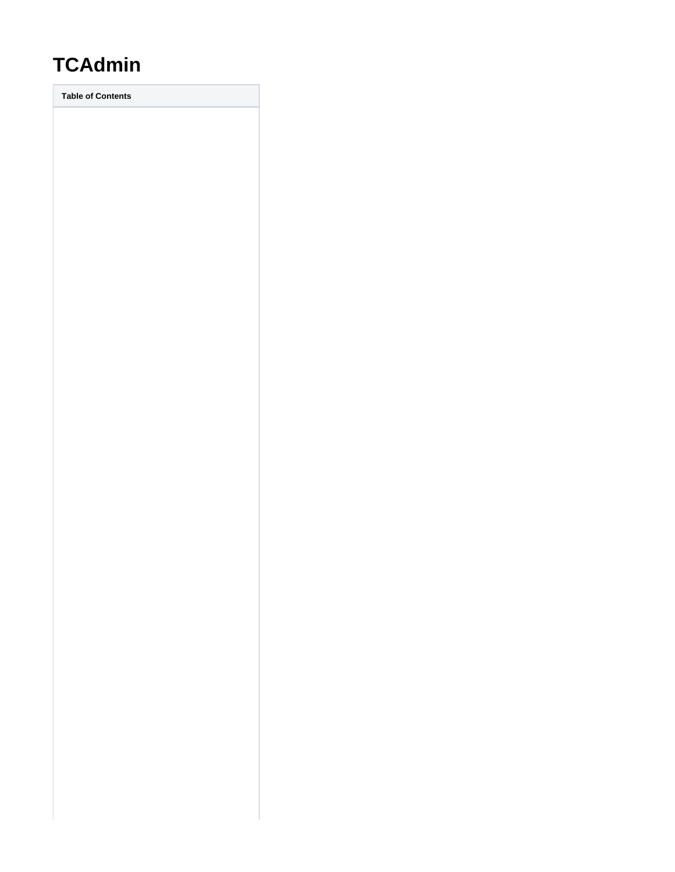# **TCAdmin**

**Table of Contents**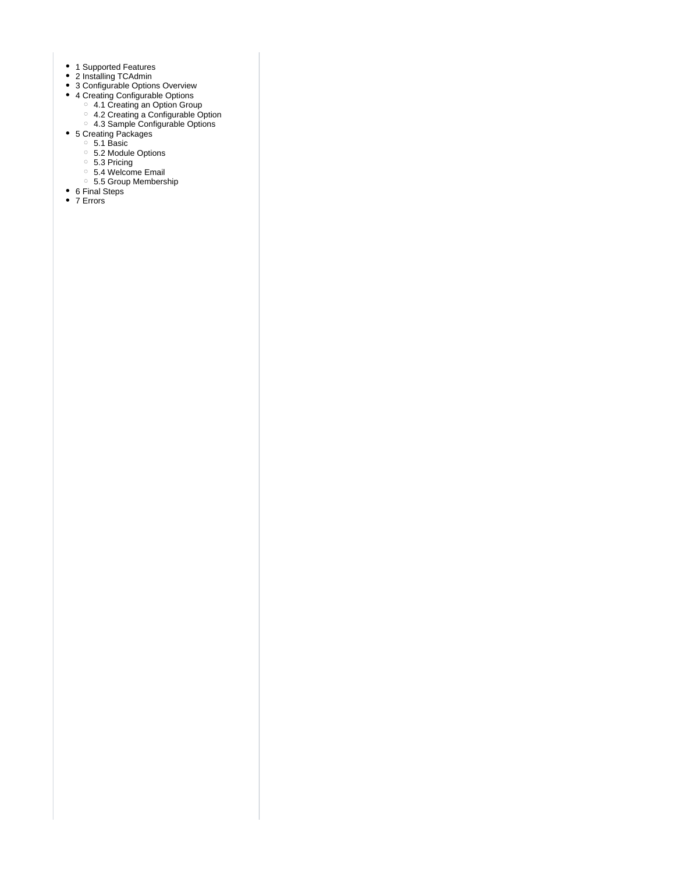- 1 [Supported Features](#page-3-0)
- 2 [Installing TCAdmin](#page-3-1)
- 3 [Configurable Options Overview](#page-3-2)
- 4 [Creating Configurable Options](#page-5-0)
	- 4.1 [Creating an Option Group](#page-5-1)
	- 4.2 [Creating a Configurable Option](#page-5-2)
	- 4.3 [Sample Configurable Options](#page-6-0)
- 5 [Creating Packages](#page-9-0)
	- 5.1 [Basic](#page-9-1)
	- 5.2 [Module Options](#page-10-0)
	- 5.3 [Pricing](#page-10-1)
	- 5.4 [Welcome Email](#page-11-0)
	- 5.5 [Group Membership](#page-16-0)
- 6 [Final Steps](#page-16-1)
- 7 [Errors](#page-16-2)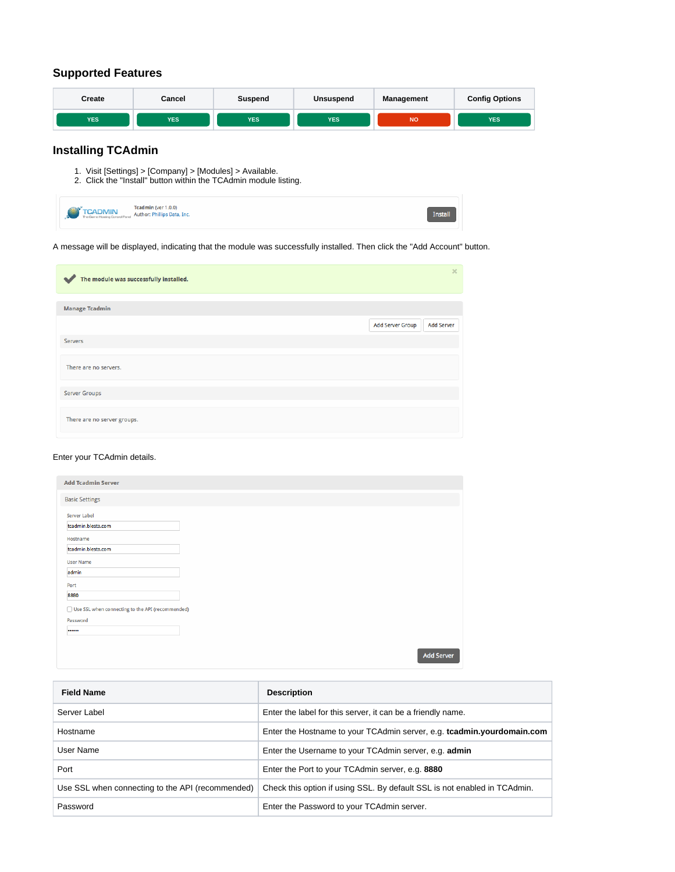# <span id="page-3-0"></span>**Supported Features**

| Create     | Cancel     | Suspend    | Unsuspend  | <b>Management</b> | <b>Config Options</b> |  |
|------------|------------|------------|------------|-------------------|-----------------------|--|
| <b>YES</b> | <b>YES</b> | <b>YES</b> | <b>YES</b> | <b>NO</b>         | <b>YES</b>            |  |

# <span id="page-3-1"></span>**Installing TCAdmin**

- 1. Visit [Settings] > [Company] > [Modules] > Available.
- 2. Click the "Install" button within the TCAdmin module listing.

| <b>TCADMIN</b> Teadmin (ver 1.0.0)<br>The Game Hosting Control Parel Author: Phillips Data, Inc. |  |
|--------------------------------------------------------------------------------------------------|--|
|--------------------------------------------------------------------------------------------------|--|

A message will be displayed, indicating that the module was successfully installed. Then click the "Add Account" button.

| The module was successfully installed.<br>$\overline{\phantom{a}}$ |                  | $\boldsymbol{\times}$ |
|--------------------------------------------------------------------|------------------|-----------------------|
| <b>Manage Tcadmin</b>                                              |                  |                       |
|                                                                    | Add Server Group | <b>Add Server</b>     |
| Servers                                                            |                  |                       |
| There are no servers.                                              |                  |                       |
| <b>Server Groups</b>                                               |                  |                       |
| There are no server groups.                                        |                  |                       |

#### Enter your TCAdmin details.

| <b>Add Tcadmin Server</b>                          |                   |
|----------------------------------------------------|-------------------|
| <b>Basic Settings</b>                              |                   |
| Server Label                                       |                   |
| tcadmin.blesta.com                                 |                   |
| Hostname                                           |                   |
| tcadmin.blesta.com                                 |                   |
| <b>User Name</b>                                   |                   |
| admin                                              |                   |
| Port                                               |                   |
| 8880                                               |                   |
| □ Use SSL when connecting to the API (recommended) |                   |
| Password                                           |                   |
|                                                    |                   |
|                                                    |                   |
|                                                    | <b>Add Server</b> |

<span id="page-3-2"></span>

| <b>Field Name</b>                                | <b>Description</b>                                                        |
|--------------------------------------------------|---------------------------------------------------------------------------|
| Server Label                                     | Enter the label for this server, it can be a friendly name.               |
| Hostname                                         | Enter the Hostname to your TCAdmin server, e.g. tcadmin.yourdomain.com    |
| User Name                                        | Enter the Username to your TCAdmin server, e.g. admin                     |
| Port                                             | Enter the Port to your TCAdmin server, e.g. 8880                          |
| Use SSL when connecting to the API (recommended) | Check this option if using SSL. By default SSL is not enabled in TCAdmin. |
| Password                                         | Enter the Password to your TCAdmin server.                                |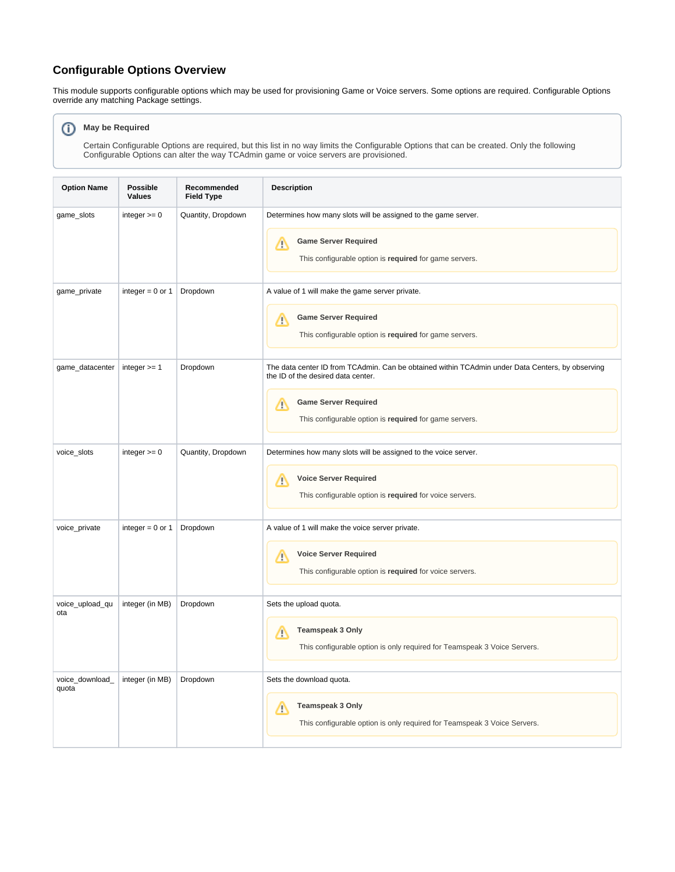# **Configurable Options Overview**

This module supports configurable options which may be used for provisioning Game or Voice servers. Some options are required. Configurable Options override any matching Package settings.

#### **May be Required** ⊙

Certain Configurable Options are required, but this list in no way limits the Configurable Options that can be created. Only the following Configurable Options can alter the way TCAdmin game or voice servers are provisioned.

| <b>Option Name</b>       | <b>Possible</b><br><b>Values</b> | Recommended<br><b>Field Type</b> | <b>Description</b>                                                                                                                                                                                                                   |  |  |  |
|--------------------------|----------------------------------|----------------------------------|--------------------------------------------------------------------------------------------------------------------------------------------------------------------------------------------------------------------------------------|--|--|--|
| game_slots               | integer $>= 0$                   | Quantity, Dropdown               | Determines how many slots will be assigned to the game server.<br><b>Game Server Required</b><br>╱╲<br>This configurable option is required for game servers.                                                                        |  |  |  |
| game_private             | integer = $0$ or 1               | Dropdown                         | A value of 1 will make the game server private.<br><b>Game Server Required</b><br>Λ<br>This configurable option is required for game servers.                                                                                        |  |  |  |
| game_datacenter          | integer $>= 1$                   | Dropdown                         | The data center ID from TCAdmin. Can be obtained within TCAdmin under Data Centers, by observing<br>the ID of the desired data center.<br><b>Game Server Required</b><br>л<br>This configurable option is required for game servers. |  |  |  |
| voice_slots              | integer $>= 0$                   | Quantity, Dropdown               | Determines how many slots will be assigned to the voice server.<br><b>Voice Server Required</b><br>∕∿<br>This configurable option is required for voice servers.                                                                     |  |  |  |
| voice_private            | integer = $0$ or 1               | Dropdown                         | A value of 1 will make the voice server private.<br><b>Voice Server Required</b><br>Λ<br>This configurable option is required for voice servers.                                                                                     |  |  |  |
| voice_upload_qu<br>ota   | integer (in MB)                  | Dropdown                         | Sets the upload quota.<br>Teamspeak 3 Only<br>Λ<br>This configurable option is only required for Teamspeak 3 Voice Servers.                                                                                                          |  |  |  |
| voice_download_<br>quota | integer (in MB)                  | Dropdown                         | Sets the download quota.<br><b>Teamspeak 3 Only</b><br>Δ<br>This configurable option is only required for Teamspeak 3 Voice Servers.                                                                                                 |  |  |  |

Δ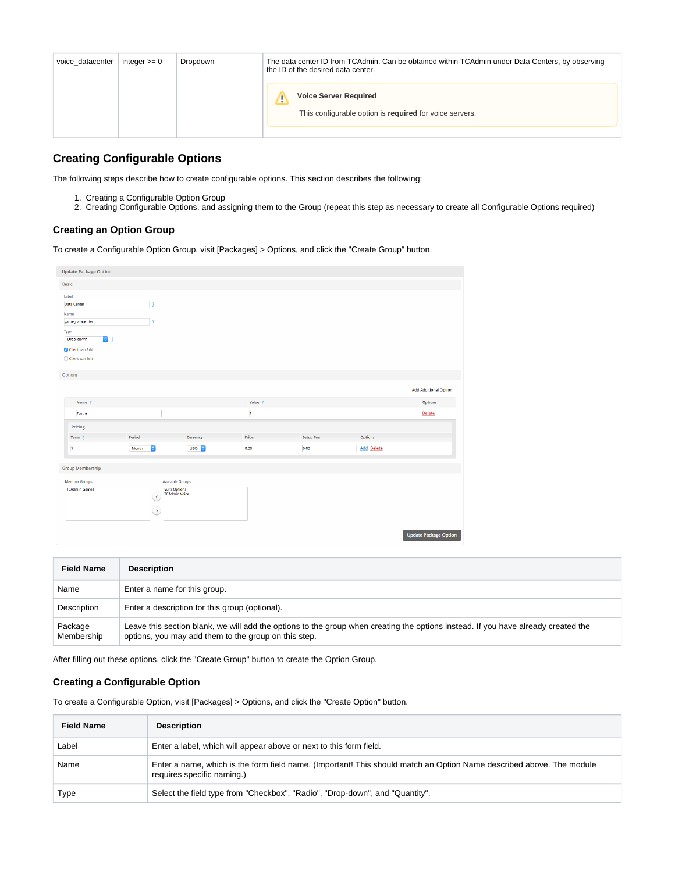| voice datacenter | integer $>= 0$ | Dropdown | The data center ID from TCAdmin. Can be obtained within TCAdmin under Data Centers, by observing<br>the ID of the desired data center. |
|------------------|----------------|----------|----------------------------------------------------------------------------------------------------------------------------------------|
|                  |                |          | <b>Voice Server Required</b><br>Ð<br>This configurable option is required for voice servers.                                           |

# <span id="page-5-0"></span>**Creating Configurable Options**

The following steps describe how to create configurable options. This section describes the following:

- 1. Creating a Configurable Option Group
- 2. Creating Configurable Options, and assigning them to the Group (repeat this step as necessary to create all Configurable Options required)

#### <span id="page-5-1"></span>**Creating an Option Group**

To create a Configurable Option Group, visit [Packages] > Options, and click the "Create Group" button.

| <b>Update Package Option</b> |                                |                                              |              |                  |             |                              |
|------------------------------|--------------------------------|----------------------------------------------|--------------|------------------|-------------|------------------------------|
| <b>Basic</b>                 |                                |                                              |              |                  |             |                              |
| Label<br><b>Data Center</b>  | $\overline{\mathbf{r}}$        |                                              |              |                  |             |                              |
| Name<br>game_datacenter      | $\overline{\mathbf{r}}$        |                                              |              |                  |             |                              |
| Type                         |                                |                                              |              |                  |             |                              |
| $\bullet$ ?<br>Drop-down     |                                |                                              |              |                  |             |                              |
| Client can Add               |                                |                                              |              |                  |             |                              |
| □ Client can Edit            |                                |                                              |              |                  |             |                              |
| Options                      |                                |                                              |              |                  |             |                              |
|                              |                                |                                              |              |                  |             | <b>Add Additional Option</b> |
| Name ?                       |                                |                                              | Value ?      |                  |             | Options                      |
| Tustin                       |                                |                                              | $\mathbf{1}$ |                  |             | Delete                       |
| Pricing                      |                                |                                              |              |                  |             |                              |
| Term ?                       | Period                         | Currency                                     | Price        | <b>Setup Fee</b> | Options     |                              |
| $\mathbf{1}$                 | $\blacktriangleright$<br>Month | <b>USD C</b>                                 | 0.00         | 0.00             | Add, Delete |                              |
| <b>Group Membership</b>      |                                |                                              |              |                  |             |                              |
| <b>Member Groups</b>         |                                | <b>Available Groups</b>                      |              |                  |             |                              |
| <b>TCAdmin Games</b>         | $\langle$<br>⊵                 | <b>Vultr Options</b><br><b>TCAdmin Voice</b> |              |                  |             |                              |
|                              |                                |                                              |              |                  |             |                              |

| <b>Field Name</b>     | <b>Description</b>                                                                                                                                                                        |
|-----------------------|-------------------------------------------------------------------------------------------------------------------------------------------------------------------------------------------|
| Name                  | Enter a name for this group.                                                                                                                                                              |
| Description           | Enter a description for this group (optional).                                                                                                                                            |
| Package<br>Membership | Leave this section blank, we will add the options to the group when creating the options instead. If you have already created the<br>options, you may add them to the group on this step. |

After filling out these options, click the "Create Group" button to create the Option Group.

### <span id="page-5-2"></span>**Creating a Configurable Option**

To create a Configurable Option, visit [Packages] > Options, and click the "Create Option" button.

| <b>Field Name</b> | <b>Description</b>                                                                                                                                 |
|-------------------|----------------------------------------------------------------------------------------------------------------------------------------------------|
| Label             | Enter a label, which will appear above or next to this form field.                                                                                 |
| Name              | Enter a name, which is the form field name. (Important! This should match an Option Name described above. The module<br>requires specific naming.) |
| Type              | Select the field type from "Checkbox", "Radio", "Drop-down", and "Quantity".                                                                       |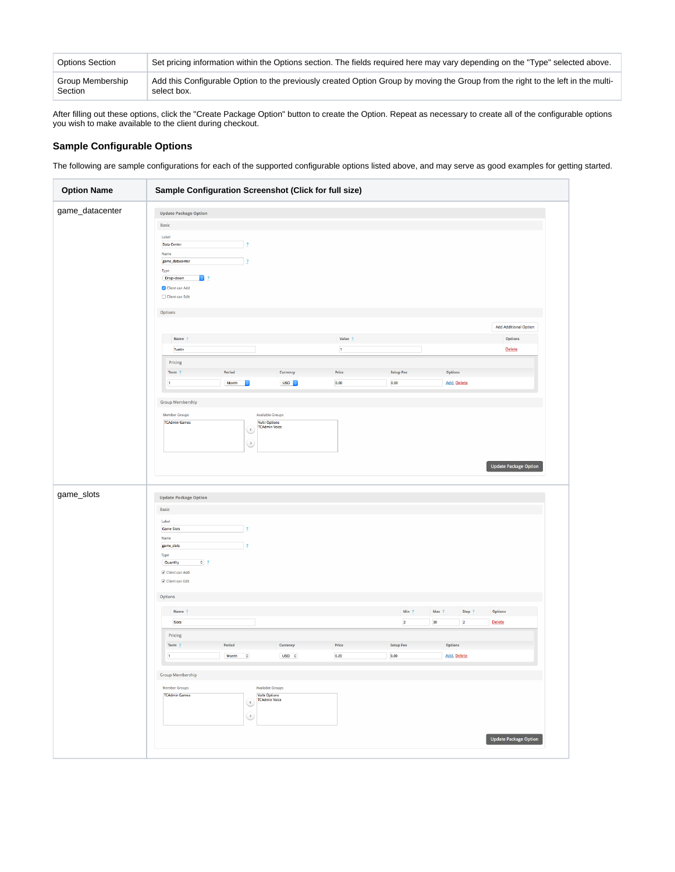| Options Section  | Set pricing information within the Options section. The fields required here may vary depending on the "Type" selected above.    |
|------------------|----------------------------------------------------------------------------------------------------------------------------------|
| Group Membership | Add this Configurable Option to the previously created Option Group by moving the Group from the right to the left in the multi- |
| Section          | select box.                                                                                                                      |

After filling out these options, click the "Create Package Option" button to create the Option. Repeat as necessary to create all of the configurable options you wish to make available to the client during checkout.

#### <span id="page-6-0"></span>**Sample Configurable Options**

The following are sample configurations for each of the supported configurable options listed above, and may serve as good examples for getting started.

| <b>Option Name</b> | Sample Configuration Screenshot (Click for full size)                                                                                                             |                                           |                                                                  |                         |                                  |                                                  |                              |
|--------------------|-------------------------------------------------------------------------------------------------------------------------------------------------------------------|-------------------------------------------|------------------------------------------------------------------|-------------------------|----------------------------------|--------------------------------------------------|------------------------------|
| game_datacenter    | <b>Update Package Option</b><br>Basic<br>Label<br>Data Center<br>Name<br>game_datacenter<br>Type<br>$\bullet$ ?<br>Drop-down<br>Client can Add<br>Client can Edit | $\overline{2}$<br>$\overline{\mathbf{z}}$ |                                                                  |                         |                                  |                                                  |                              |
|                    | Options                                                                                                                                                           |                                           |                                                                  |                         |                                  |                                                  |                              |
|                    |                                                                                                                                                                   |                                           |                                                                  |                         |                                  |                                                  | <b>Add Additional Option</b> |
|                    | Name ?<br>Tustin                                                                                                                                                  |                                           |                                                                  | Value ?<br>$\mathbf{1}$ |                                  |                                                  | Options<br><b>Delete</b>     |
|                    | Pricing                                                                                                                                                           |                                           |                                                                  |                         |                                  |                                                  |                              |
|                    | Term ?                                                                                                                                                            | Period                                    | Currency                                                         | Price                   | <b>Setup Fee</b>                 | Options                                          |                              |
|                    | $\mathbf 1$                                                                                                                                                       | Month<br>$ \mathbf{c} $                   | USD <sub>C</sub>                                                 | 0.00                    | 0.00                             | Add, Delete                                      |                              |
|                    | <b>Group Membership</b>                                                                                                                                           |                                           |                                                                  |                         |                                  |                                                  |                              |
|                    | Member Groups                                                                                                                                                     |                                           | Available Groups                                                 |                         |                                  |                                                  |                              |
|                    | <b>TCAdmin Games</b>                                                                                                                                              | G<br>હ                                    | <b>Vultr Options</b><br><b>TCAdmin Voice</b>                     |                         |                                  |                                                  | <b>Update Package Option</b> |
| game_slots         | <b>Update Package Option</b><br>Basic                                                                                                                             |                                           |                                                                  |                         |                                  |                                                  |                              |
|                    | Label<br><b>Game Slots</b><br>Name<br>game_slots<br>Type<br>$\circ$ ?<br>Quantity<br>Client can Add<br>Client can Edit                                            | $\overline{\phantom{a}}$<br>$\mathbf{r}$  |                                                                  |                         |                                  |                                                  |                              |
|                    | Options                                                                                                                                                           |                                           |                                                                  |                         |                                  |                                                  |                              |
|                    |                                                                                                                                                                   |                                           |                                                                  |                         |                                  |                                                  |                              |
|                    | Name ?<br>Slots                                                                                                                                                   |                                           |                                                                  |                         | Min ?<br>$\overline{\mathbf{2}}$ | Step ?<br>Max ?<br>30<br>$\overline{\mathbf{2}}$ | Options<br><b>Delete</b>     |
|                    | Pricing                                                                                                                                                           |                                           |                                                                  |                         |                                  |                                                  |                              |
|                    | Term ?                                                                                                                                                            | Period                                    | Currency                                                         | Price                   | <b>Setup Fee</b>                 | Options                                          |                              |
|                    | 1                                                                                                                                                                 | $\Diamond$<br>Month                       | $USD \quad \circlearrowright$                                    | 0.20                    | 0.00                             | Add, Delete                                      |                              |
|                    | <b>Group Membership</b><br><b>Member Groups</b><br><b>TCAdmin Games</b>                                                                                           | હ<br>$\circ$                              | Available Groups<br><b>Vultr Options</b><br><b>TCAdmin Voice</b> |                         |                                  |                                                  |                              |
|                    |                                                                                                                                                                   |                                           |                                                                  |                         |                                  |                                                  | <b>Update Package Option</b> |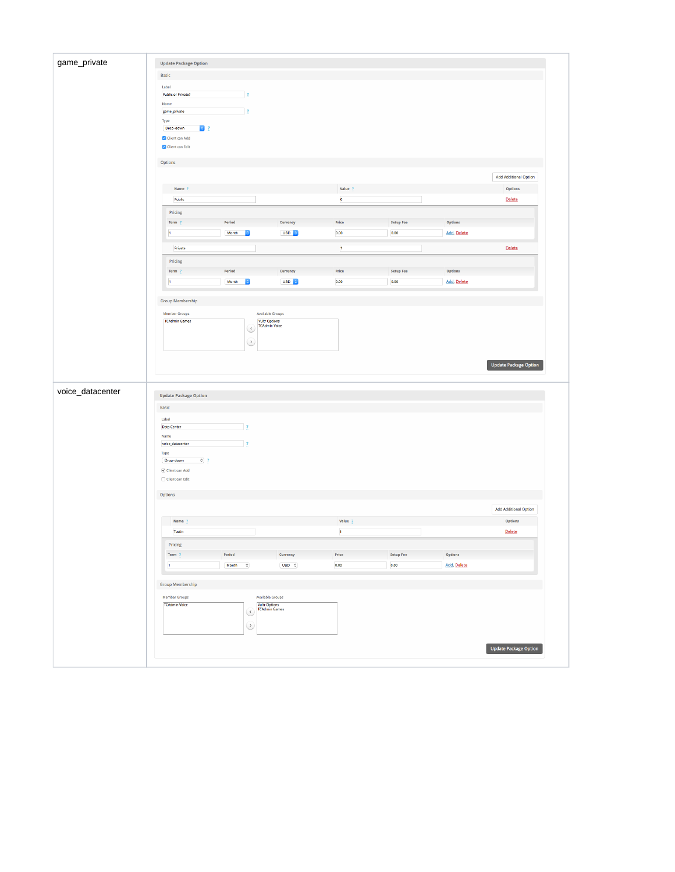| game_private     | <b>Update Package Option</b>          |                                  |                          |                                        |                               |                  |             |                              |
|------------------|---------------------------------------|----------------------------------|--------------------------|----------------------------------------|-------------------------------|------------------|-------------|------------------------------|
|                  | Basic                                 |                                  |                          |                                        |                               |                  |             |                              |
|                  | Label                                 |                                  |                          |                                        |                               |                  |             |                              |
|                  | <b>Public or Private?</b>             |                                  | $\overline{\mathbf{z}}$  |                                        |                               |                  |             |                              |
|                  | Name<br>game_private                  |                                  | $\overline{3}$           |                                        |                               |                  |             |                              |
|                  | Type                                  |                                  |                          |                                        |                               |                  |             |                              |
|                  | Drop-down<br>$\bullet$ ?              |                                  |                          |                                        |                               |                  |             |                              |
|                  | Client can Add<br>Client can Edit     |                                  |                          |                                        |                               |                  |             |                              |
|                  |                                       |                                  |                          |                                        |                               |                  |             |                              |
|                  | Options                               |                                  |                          |                                        |                               |                  |             |                              |
|                  |                                       |                                  |                          |                                        |                               |                  |             | <b>Add Additional Option</b> |
|                  | Name ?                                |                                  |                          |                                        | Value ?                       |                  |             | Options                      |
|                  | Public                                |                                  |                          |                                        | $\mathbf{o}$                  |                  |             | Delete                       |
|                  | Pricing                               |                                  |                          |                                        |                               |                  |             |                              |
|                  | Term ?                                | Period                           |                          | Currency                               | Price                         | <b>Setup Fee</b> | Options     |                              |
|                  | $\mathbf 1$                           | Month                            | ١e                       | USD <sub>c</sub>                       | 0.00                          | 0.00             | Add, Delete |                              |
|                  | Private                               |                                  |                          |                                        | $\mathbf 1$                   |                  |             | Delete                       |
|                  | Pricing                               |                                  |                          |                                        |                               |                  |             |                              |
|                  | Term ?                                | Period                           |                          | Currency                               | $\ensuremath{\mathsf{Price}}$ | <b>Setup Fee</b> | Options     |                              |
|                  | $\mathbf{1}$                          | Month                            | $\overline{\bullet}$     | USD <sub>C</sub>                       | 0.00                          | 0.00             | Add, Delete |                              |
|                  |                                       |                                  |                          |                                        |                               |                  |             |                              |
|                  | <b>Group Membership</b>               |                                  |                          |                                        |                               |                  |             |                              |
|                  | Member Groups                         |                                  |                          | <b>Available Groups</b>                |                               |                  |             |                              |
|                  | <b>TCAdmin Games</b>                  |                                  |                          | <b>Vultr Options</b>                   |                               |                  |             |                              |
|                  |                                       |                                  |                          | <b>TCAdmin Voice</b>                   |                               |                  |             |                              |
|                  |                                       |                                  | હ                        |                                        |                               |                  |             |                              |
|                  |                                       |                                  | $\circ$                  |                                        |                               |                  |             |                              |
|                  |                                       |                                  |                          |                                        |                               |                  |             | <b>Update Package Option</b> |
| voice_datacenter |                                       |                                  |                          |                                        |                               |                  |             |                              |
|                  | <b>Update Package Option</b>          |                                  |                          |                                        |                               |                  |             |                              |
|                  | Basic                                 |                                  |                          |                                        |                               |                  |             |                              |
|                  | Label<br>Data Center                  |                                  | $\frac{1}{2}$            |                                        |                               |                  |             |                              |
|                  | Name                                  |                                  |                          |                                        |                               |                  |             |                              |
|                  | voice_datacenter                      |                                  | $\overline{1}$           |                                        |                               |                  |             |                              |
|                  | Type<br>$\circ$ ?<br>Drop-down        |                                  |                          |                                        |                               |                  |             |                              |
|                  | $\boxed{\checkmark}$ Client can Add   |                                  |                          |                                        |                               |                  |             |                              |
|                  | $\Box$ Client can Edit                |                                  |                          |                                        |                               |                  |             |                              |
|                  | $\textsf{Options}$                    |                                  |                          |                                        |                               |                  |             |                              |
|                  |                                       |                                  |                          |                                        |                               |                  |             |                              |
|                  |                                       |                                  |                          |                                        |                               |                  |             | <b>Add Additional Option</b> |
|                  | Name ?                                |                                  |                          |                                        | Value ?                       |                  |             | Options                      |
|                  | Tustin                                |                                  |                          |                                        | $\mathfrak{t}$                |                  |             | <b>Delete</b>                |
|                  | Pricing                               |                                  |                          |                                        |                               |                  |             |                              |
|                  | Term ?                                | Period                           |                          | Currency                               | $\ensuremath{\mathsf{Price}}$ | <b>Setup Fee</b> | Options     |                              |
|                  | $\mathbf t$                           | $Month \qquad \circlearrowright$ |                          | $USD$ $\circ$                          | 0.00                          | $_{0.00}$        | Add, Delete |                              |
|                  | <b>Group Membership</b>               |                                  |                          |                                        |                               |                  |             |                              |
|                  |                                       |                                  |                          |                                        |                               |                  |             |                              |
|                  | Member Groups<br><b>TCAdmin Voice</b> |                                  |                          | Available Groups                       |                               |                  |             |                              |
|                  |                                       |                                  | $\overline{\mathcal{C}}$ | <b>Vultr Options<br/>TCAdmin Games</b> |                               |                  |             |                              |
|                  |                                       |                                  | $\odot$                  |                                        |                               |                  |             |                              |
|                  |                                       |                                  |                          |                                        |                               |                  |             |                              |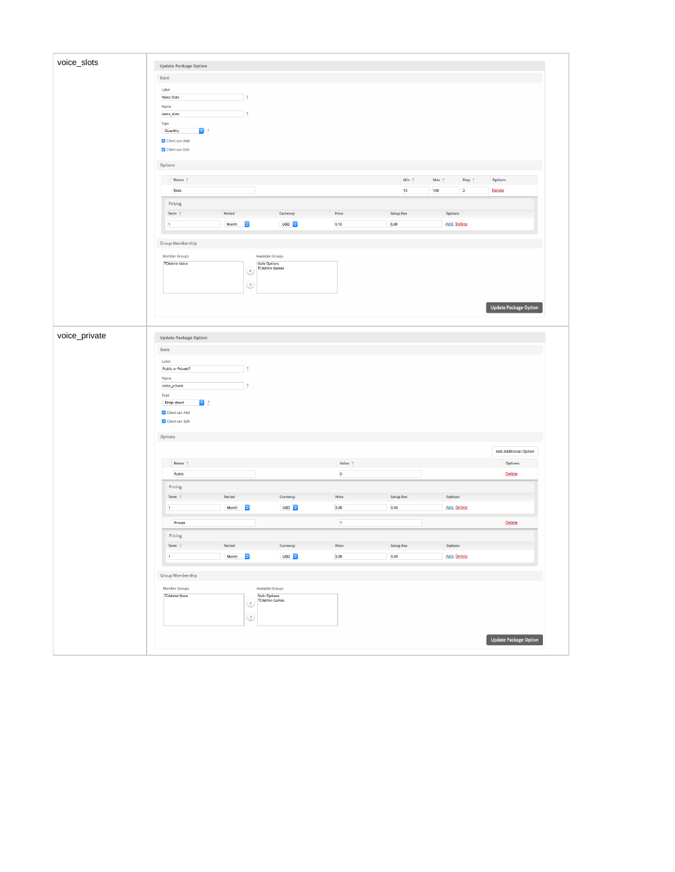|               | <b>Update Package Option</b>  |                                      |                                        |               |                   |                                    |                              |
|---------------|-------------------------------|--------------------------------------|----------------------------------------|---------------|-------------------|------------------------------------|------------------------------|
|               | Basic                         |                                      |                                        |               |                   |                                    |                              |
|               | Label                         |                                      |                                        |               |                   |                                    |                              |
|               | <b>Voice Slots</b>            | $\mathbf{R}$                         |                                        |               |                   |                                    |                              |
|               | Name                          |                                      |                                        |               |                   |                                    |                              |
|               | voice_slots                   | $\overline{?}$                       |                                        |               |                   |                                    |                              |
|               | Type<br>Quantity              |                                      |                                        |               |                   |                                    |                              |
|               | $\bullet$ ?<br>Client can Add |                                      |                                        |               |                   |                                    |                              |
|               | Client can Edit               |                                      |                                        |               |                   |                                    |                              |
|               | Options                       |                                      |                                        |               |                   |                                    |                              |
|               | Name ?                        |                                      |                                        |               | Min $\frac{1}{2}$ | Max ?<br>Step ?                    | Options                      |
|               | Slots                         |                                      |                                        |               | $10\,$            | $\overline{\mathbf{2}}$<br>$100\,$ | <b>Delete</b>                |
|               | Pricing                       |                                      |                                        |               |                   |                                    |                              |
|               | Term ?                        | Period                               | Currency                               | Price         | <b>Setup Fee</b>  | Options                            |                              |
|               |                               |                                      | USD <sub>2</sub>                       |               | 0.00              | Add, Delete                        |                              |
|               | $\mathbf{1}$                  | $\mathsf{Month}$<br>$ \hat{\bm{z}} $ |                                        | 0.10          |                   |                                    |                              |
|               | <b>Group Membership</b>       |                                      |                                        |               |                   |                                    |                              |
|               | <b>Member Groups</b>          |                                      | <b>Available Groups</b>                |               |                   |                                    |                              |
|               | <b>TCAdmin Voice</b>          |                                      | <b>Vultr Options<br/>TCAdmin Games</b> |               |                   |                                    |                              |
|               |                               | S                                    |                                        |               |                   |                                    |                              |
|               |                               | ⊵                                    |                                        |               |                   |                                    |                              |
|               |                               |                                      |                                        |               |                   |                                    |                              |
|               |                               |                                      |                                        |               |                   |                                    |                              |
|               |                               |                                      |                                        |               |                   |                                    | <b>Update Package Option</b> |
|               |                               |                                      |                                        |               |                   |                                    |                              |
| voice_private | <b>Update Package Option</b>  |                                      |                                        |               |                   |                                    |                              |
|               |                               |                                      |                                        |               |                   |                                    |                              |
|               | <b>Basic</b>                  |                                      |                                        |               |                   |                                    |                              |
|               |                               |                                      |                                        |               |                   |                                    |                              |
|               | Label                         | $\frac{1}{2}$                        |                                        |               |                   |                                    |                              |
|               | Public or Private?<br>Name    |                                      |                                        |               |                   |                                    |                              |
|               | voice_private                 | $\frac{1}{2}$                        |                                        |               |                   |                                    |                              |
|               | Type                          |                                      |                                        |               |                   |                                    |                              |
|               | $\bullet$ ?<br>Drop-down      |                                      |                                        |               |                   |                                    |                              |
|               | Client can Add                |                                      |                                        |               |                   |                                    |                              |
|               | Client can Edit               |                                      |                                        |               |                   |                                    |                              |
|               |                               |                                      |                                        |               |                   |                                    |                              |
|               | Options                       |                                      |                                        |               |                   |                                    |                              |
|               |                               |                                      |                                        |               |                   |                                    | <b>Add Additional Option</b> |
|               | Name ?                        |                                      |                                        | Value ?       |                   |                                    | Options                      |
|               | Public                        |                                      |                                        | $\pmb{\circ}$ |                   |                                    | Delete                       |
|               |                               |                                      |                                        |               |                   |                                    |                              |
|               | Pricing                       |                                      |                                        |               |                   |                                    |                              |
|               | Term ?                        | Period<br>lo.                        | Currency                               | Price         | <b>Setup Fee</b>  | Options                            |                              |
|               | $\mathbf{t}$                  | Month                                | USD C                                  | 0.00          | 0.00              | Add, Delete                        |                              |
|               | Private                       |                                      |                                        | $\mathbf{1}$  |                   |                                    | <b>Delete</b>                |
|               | Pricing                       |                                      |                                        |               |                   |                                    |                              |
|               | Term ?                        | Period                               | Currency                               | Price         | <b>Setup Fee</b>  | Options                            |                              |
|               |                               |                                      |                                        |               |                   |                                    |                              |
|               | $\mathbf 1$                   | Month C                              | USD C                                  | 0.00          | 0.00              | Add, Delete                        |                              |
|               | <b>Group Membership</b>       |                                      |                                        |               |                   |                                    |                              |
|               | <b>Member Groups</b>          |                                      | Available Groups                       |               |                   |                                    |                              |
|               | <b>TCAdmin Voice</b>          |                                      |                                        |               |                   |                                    |                              |
|               |                               | $\overline{\mathcal{C}}$             | <b>Vultr Options<br/>TCAdmin Games</b> |               |                   |                                    |                              |
|               |                               |                                      |                                        |               |                   |                                    |                              |
|               |                               | $\odot$                              |                                        |               |                   |                                    |                              |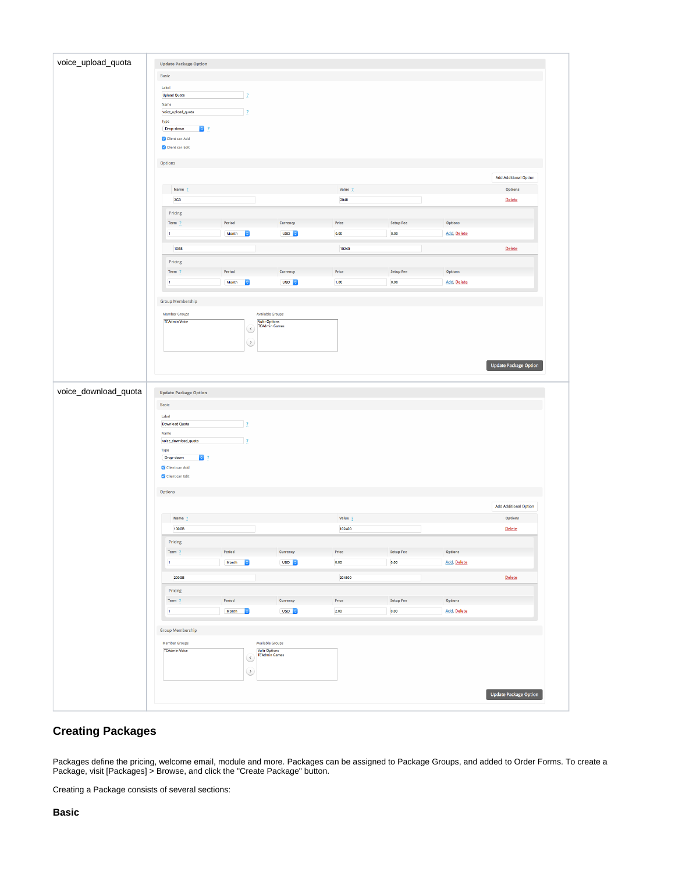| <b>Update Package Option</b>                 |                          |                                                 |                               |                  |                    |                              |
|----------------------------------------------|--------------------------|-------------------------------------------------|-------------------------------|------------------|--------------------|------------------------------|
| Basic                                        |                          |                                                 |                               |                  |                    |                              |
| Label                                        |                          |                                                 |                               |                  |                    |                              |
| <b>Upload Quota</b>                          | $\mathbf{r}$             |                                                 |                               |                  |                    |                              |
| Name<br>voice_upload_quota                   | $\overline{\mathbf{r}}$  |                                                 |                               |                  |                    |                              |
| Type                                         |                          |                                                 |                               |                  |                    |                              |
| $\bullet$ ?<br>Drop-down                     |                          |                                                 |                               |                  |                    |                              |
| Client can Add<br>Client can Edit            |                          |                                                 |                               |                  |                    |                              |
|                                              |                          |                                                 |                               |                  |                    |                              |
| Options                                      |                          |                                                 |                               |                  |                    |                              |
|                                              |                          |                                                 |                               |                  |                    | <b>Add Additional Option</b> |
| Name                                         |                          |                                                 | Value ?                       |                  |                    | Options                      |
| 2GB                                          |                          |                                                 | 2048                          |                  |                    | <b>Delete</b>                |
| Pricing                                      |                          |                                                 |                               |                  |                    |                              |
| Term ?                                       | Period                   | Currency                                        | Price                         | <b>Setup Fee</b> | Options            |                              |
| $\mathbf{1}$                                 | Month<br><b>IC</b>       | USD <sub>c</sub>                                | 0.00                          | $0.00\,$         | Add, Delete        |                              |
| 10GB                                         |                          |                                                 | 10240                         |                  |                    | Delete                       |
| Pricing                                      |                          |                                                 |                               |                  |                    |                              |
| Term ?                                       | Period                   | Currency                                        | Price                         | <b>Setup Fee</b> | Options            |                              |
| $\mathbf t$                                  | Month<br><b>Ie</b>       | USD <sub>c</sub>                                | 1.00                          | 0.00             | Add, Delete        |                              |
| <b>Group Membership</b>                      |                          |                                                 |                               |                  |                    |                              |
|                                              |                          |                                                 |                               |                  |                    |                              |
| <b>Member Groups</b><br><b>TCAdmin Voice</b> |                          | <b>Available Groups</b><br><b>Vultr Options</b> |                               |                  |                    |                              |
|                                              | હ                        | <b>TCAdmin Games</b>                            |                               |                  |                    |                              |
|                                              | ↺                        |                                                 |                               |                  |                    |                              |
|                                              |                          |                                                 |                               |                  |                    |                              |
|                                              |                          |                                                 |                               |                  |                    |                              |
|                                              |                          |                                                 |                               |                  |                    |                              |
|                                              |                          |                                                 |                               |                  |                    | <b>Update Package Option</b> |
|                                              |                          |                                                 |                               |                  |                    |                              |
| <b>Update Package Option</b>                 |                          |                                                 |                               |                  |                    |                              |
| Basic                                        |                          |                                                 |                               |                  |                    |                              |
| Label                                        |                          |                                                 |                               |                  |                    |                              |
| Download Quota                               | $\overline{\mathbf{z}}$  |                                                 |                               |                  |                    |                              |
| Name                                         | $\overline{?}$           |                                                 |                               |                  |                    |                              |
| voice_download_quota<br>Type                 |                          |                                                 |                               |                  |                    |                              |
| $\bullet$ ?<br>Drop-down                     |                          |                                                 |                               |                  |                    |                              |
| $\blacktriangleright$ Client can Add         |                          |                                                 |                               |                  |                    |                              |
| Client can Edit                              |                          |                                                 |                               |                  |                    |                              |
| Options                                      |                          |                                                 |                               |                  |                    |                              |
|                                              |                          |                                                 |                               |                  |                    | <b>Add Additional Option</b> |
| Name ?                                       |                          |                                                 | Value ?                       |                  |                    | Options                      |
| 100GB                                        |                          |                                                 | 102400                        |                  |                    | <b>Delete</b>                |
|                                              |                          |                                                 |                               |                  |                    |                              |
| Pricing<br>Term ?                            | Period                   | Currency                                        | $\ensuremath{\mathsf{Price}}$ | <b>Setup Fee</b> | Options            |                              |
| $\mathbf{1}$                                 | Month 0                  | USD <sub>C</sub>                                | 0.00                          | 0.00             | <b>Add, Delete</b> |                              |
|                                              |                          |                                                 |                               |                  |                    |                              |
| 200GB                                        |                          |                                                 | 204800                        |                  |                    | <b>Delete</b>                |
| Pricing                                      |                          |                                                 |                               |                  |                    |                              |
| Term ?                                       | Period                   | Currency                                        | Price                         | <b>Setup Fee</b> | Options            |                              |
| $\mathbf{1}$                                 | Month<br>$ \mathbf{c} $  | USD <sub>0</sub>                                | 2.00                          | 0.00             | Add, Delete        |                              |
|                                              |                          |                                                 |                               |                  |                    |                              |
| <b>Group Membership</b>                      |                          |                                                 |                               |                  |                    |                              |
| <b>Member Groups</b><br><b>TCAdmin Voice</b> |                          | <b>Available Groups</b>                         |                               |                  |                    |                              |
|                                              | $\overline{\mathcal{C}}$ | <b>Vultr Options<br/>TCAdmin Games</b>          |                               |                  |                    |                              |
|                                              | $\circ$                  |                                                 |                               |                  |                    |                              |

# <span id="page-9-0"></span>**Creating Packages**

Packages define the pricing, welcome email, module and more. Packages can be assigned to Package Groups, and added to Order Forms. To create a Package, visit [Packages] > Browse, and click the "Create Package" button.

<span id="page-9-1"></span>Creating a Package consists of several sections: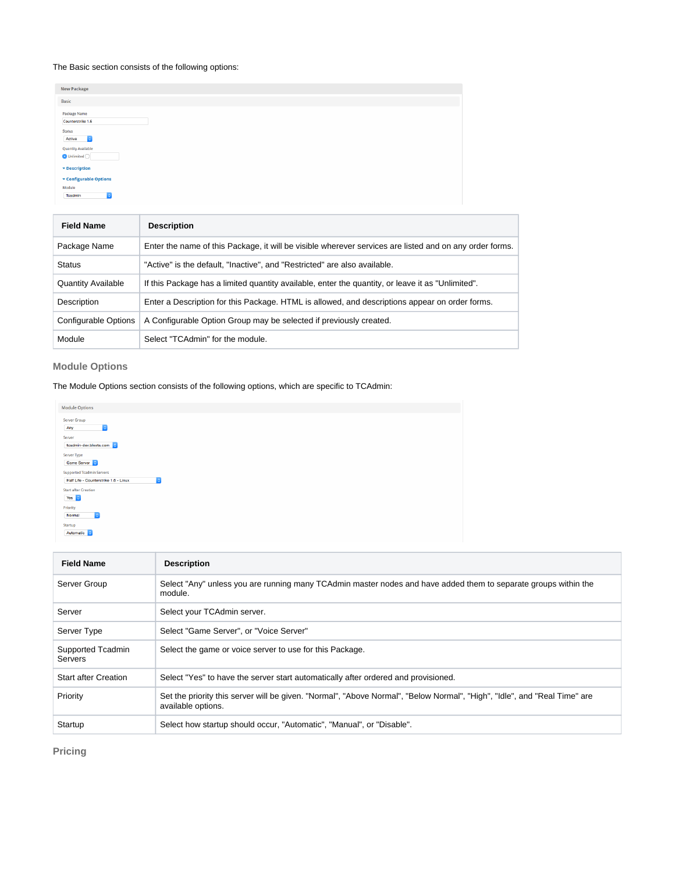#### The Basic section consists of the following options:

| <b>Field Name</b>                                                    | <b>Description</b> |  |
|----------------------------------------------------------------------|--------------------|--|
| Module<br>$\overline{\bullet}$<br>Tcadmin                            |                    |  |
| <b>v</b> Description<br><b>v</b> Configurable Options                |                    |  |
| $\bigcirc$ Unlimited $\bigcirc$                                      |                    |  |
| Status<br>$\vert \circ \vert$<br>Active<br><b>Quantity Available</b> |                    |  |
| Package Name<br>Counterstrike 1.6                                    |                    |  |
| Basic                                                                |                    |  |
| <b>New Package</b>                                                   |                    |  |

| Package Name              | Enter the name of this Package, it will be visible wherever services are listed and on any order forms. |
|---------------------------|---------------------------------------------------------------------------------------------------------|
| Status                    | "Active" is the default, "Inactive", and "Restricted" are also available.                               |
| <b>Quantity Available</b> | If this Package has a limited quantity available, enter the quantity, or leave it as "Unlimited".       |
| Description               | Enter a Description for this Package. HTML is allowed, and descriptions appear on order forms.          |
| Configurable Options      | A Configurable Option Group may be selected if previously created.                                      |
| Module                    | Select "TCAdmin" for the module.                                                                        |

# <span id="page-10-0"></span>**Module Options**

The Module Options section consists of the following options, which are specific to TCAdmin:

| <b>Module Options</b>                                                                             |  |  |
|---------------------------------------------------------------------------------------------------|--|--|
| Server Group<br>$\ddot{\bullet}$<br>Any                                                           |  |  |
| Server<br>tcadmin-dev.blesta.com                                                                  |  |  |
| Server Type<br>Game Server 3                                                                      |  |  |
| <b>Supported Tcadmin Servers</b><br>$\overline{\bullet}$<br>Half Life - Counterstrike 1.6 - Linux |  |  |
| <b>Start after Creation</b><br>$Yes$ $\circ$                                                      |  |  |
| Priority<br>Normal<br>$\ddot{\phantom{1}}$                                                        |  |  |
| Startup<br>Automatic C                                                                            |  |  |

| Field Name                   | <b>Description</b>                                                                                                                              |
|------------------------------|-------------------------------------------------------------------------------------------------------------------------------------------------|
| Server Group                 | Select "Any" unless you are running many TCAdmin master nodes and have added them to separate groups within the<br>module.                      |
| Server                       | Select your TCAdmin server.                                                                                                                     |
| Server Type                  | Select "Game Server", or "Voice Server"                                                                                                         |
| Supported Tcadmin<br>Servers | Select the game or voice server to use for this Package.                                                                                        |
| <b>Start after Creation</b>  | Select "Yes" to have the server start automatically after ordered and provisioned.                                                              |
| Priority                     | Set the priority this server will be given. "Normal", "Above Normal", "Below Normal", "High", "Idle", and "Real Time" are<br>available options. |
| Startup                      | Select how startup should occur, "Automatic", "Manual", or "Disable".                                                                           |

<span id="page-10-1"></span>**Pricing**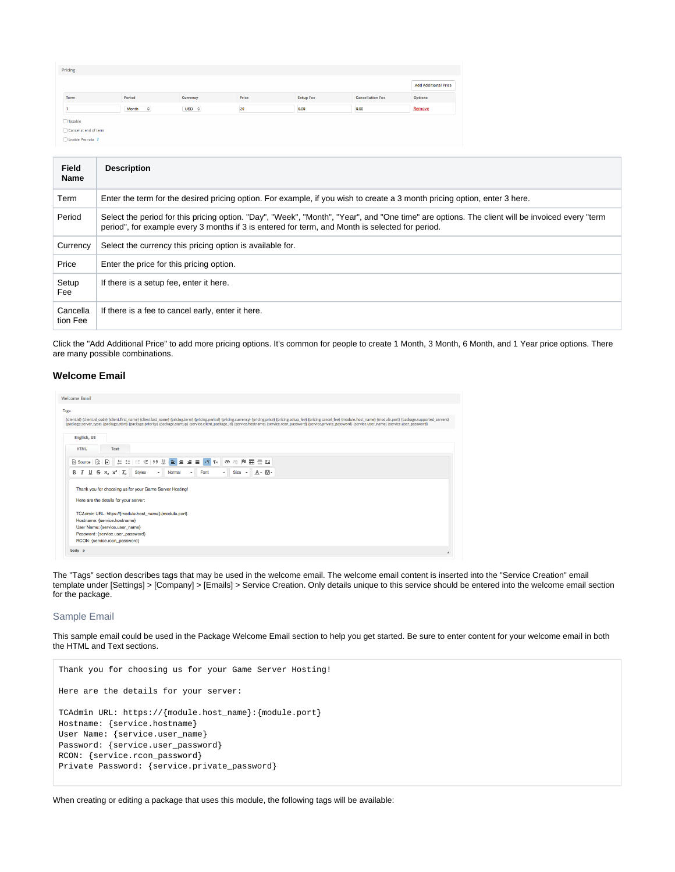| Pricing               |                    |                         |       |                  |                         |                             |
|-----------------------|--------------------|-------------------------|-------|------------------|-------------------------|-----------------------------|
|                       |                    |                         |       |                  |                         | <b>Add Additional Price</b> |
| Term                  | Period             | Currency                | Price | <b>Setup Fee</b> | <b>Cancellation Fee</b> | <b>Options</b>              |
|                       | Month<br>$\hat{z}$ | $USD \quad \mathcal{Z}$ | 20    | 0.00             | 0.00                    | Remove                      |
| □ Taxable             |                    |                         |       |                  |                         |                             |
| Cancel at end of term |                    |                         |       |                  |                         |                             |

Enable Pro rata ?

| Field<br><b>Name</b> | <b>Description</b>                                                                                                                                                                                                                                |
|----------------------|---------------------------------------------------------------------------------------------------------------------------------------------------------------------------------------------------------------------------------------------------|
| Term                 | Enter the term for the desired pricing option. For example, if you wish to create a 3 month pricing option, enter 3 here.                                                                                                                         |
| Period               | Select the period for this pricing option. "Day", "Week", "Month", "Year", and "One time" are options. The client will be invoiced every "term<br>period", for example every 3 months if 3 is entered for term, and Month is selected for period. |
| Currency             | Select the currency this pricing option is available for.                                                                                                                                                                                         |
| Price                | Enter the price for this pricing option.                                                                                                                                                                                                          |
| Setup<br>Fee         | If there is a setup fee, enter it here.                                                                                                                                                                                                           |
| Cancella<br>tion Fee | If there is a fee to cancel early, enter it here.                                                                                                                                                                                                 |

Click the "Add Additional Price" to add more pricing options. It's common for people to create 1 Month, 3 Month, 6 Month, and 1 Year price options. There are many possible combinations.

#### <span id="page-11-0"></span>**Welcome Email**

| {client.id} {client.id_code} {client.first_name} {client.last_name} {pricing.term} {pricing.period} {pricing.currency} {pricing.price} {pricing.setup_fee} {pricing.cance _fee} {module.host_name} {module.port} {package.supp<br>English, US<br><b>HTML</b><br>Text<br><b><b><i>a</i></b> Source   Q   B   に に   生 モ   キ キ   ク ッ ※   量 量 量 ■</b><br>$= 5$<br>$\mathcal{F}$ 1. $\infty$<br>$\alpha$ is the set of $\mathbb{R}^n$<br>m.<br>B $I \cup S \times_{\epsilon} \times' I_{x}$<br><b>Styles</b><br>$Size \rightarrow$<br>Font<br>$A - B -$<br>Normal<br>$\cdot$<br>$\sim$<br>٠<br>Thank you for choosing us for your Game Server Hosting!<br>Here are the details for your server:<br>TCAdmin URL: https://{module.host_name}:{module.port}<br>Hostname: {service.hostname}<br>User Name: {service.user_name}<br>Password: {service.user_password}<br>RCON: {service.rcon_password} |                                                                                                                                                                                                                                |
|---------------------------------------------------------------------------------------------------------------------------------------------------------------------------------------------------------------------------------------------------------------------------------------------------------------------------------------------------------------------------------------------------------------------------------------------------------------------------------------------------------------------------------------------------------------------------------------------------------------------------------------------------------------------------------------------------------------------------------------------------------------------------------------------------------------------------------------------------------------------------------------------|--------------------------------------------------------------------------------------------------------------------------------------------------------------------------------------------------------------------------------|
|                                                                                                                                                                                                                                                                                                                                                                                                                                                                                                                                                                                                                                                                                                                                                                                                                                                                                             | <b>Welcome Email</b>                                                                                                                                                                                                           |
|                                                                                                                                                                                                                                                                                                                                                                                                                                                                                                                                                                                                                                                                                                                                                                                                                                                                                             | Tags:                                                                                                                                                                                                                          |
|                                                                                                                                                                                                                                                                                                                                                                                                                                                                                                                                                                                                                                                                                                                                                                                                                                                                                             |                                                                                                                                                                                                                                |
|                                                                                                                                                                                                                                                                                                                                                                                                                                                                                                                                                                                                                                                                                                                                                                                                                                                                                             | {package.server_type} {package.start} {package.priority} {package.startup} {service.client_package_id} {service.hostname} {service.rcon_password} {service.private_password} {service.user_name} {service.user_name} {service. |
|                                                                                                                                                                                                                                                                                                                                                                                                                                                                                                                                                                                                                                                                                                                                                                                                                                                                                             |                                                                                                                                                                                                                                |
|                                                                                                                                                                                                                                                                                                                                                                                                                                                                                                                                                                                                                                                                                                                                                                                                                                                                                             |                                                                                                                                                                                                                                |
|                                                                                                                                                                                                                                                                                                                                                                                                                                                                                                                                                                                                                                                                                                                                                                                                                                                                                             |                                                                                                                                                                                                                                |
|                                                                                                                                                                                                                                                                                                                                                                                                                                                                                                                                                                                                                                                                                                                                                                                                                                                                                             |                                                                                                                                                                                                                                |
|                                                                                                                                                                                                                                                                                                                                                                                                                                                                                                                                                                                                                                                                                                                                                                                                                                                                                             |                                                                                                                                                                                                                                |
|                                                                                                                                                                                                                                                                                                                                                                                                                                                                                                                                                                                                                                                                                                                                                                                                                                                                                             |                                                                                                                                                                                                                                |
|                                                                                                                                                                                                                                                                                                                                                                                                                                                                                                                                                                                                                                                                                                                                                                                                                                                                                             |                                                                                                                                                                                                                                |
|                                                                                                                                                                                                                                                                                                                                                                                                                                                                                                                                                                                                                                                                                                                                                                                                                                                                                             |                                                                                                                                                                                                                                |
|                                                                                                                                                                                                                                                                                                                                                                                                                                                                                                                                                                                                                                                                                                                                                                                                                                                                                             |                                                                                                                                                                                                                                |
|                                                                                                                                                                                                                                                                                                                                                                                                                                                                                                                                                                                                                                                                                                                                                                                                                                                                                             |                                                                                                                                                                                                                                |
|                                                                                                                                                                                                                                                                                                                                                                                                                                                                                                                                                                                                                                                                                                                                                                                                                                                                                             |                                                                                                                                                                                                                                |
|                                                                                                                                                                                                                                                                                                                                                                                                                                                                                                                                                                                                                                                                                                                                                                                                                                                                                             |                                                                                                                                                                                                                                |
|                                                                                                                                                                                                                                                                                                                                                                                                                                                                                                                                                                                                                                                                                                                                                                                                                                                                                             |                                                                                                                                                                                                                                |
|                                                                                                                                                                                                                                                                                                                                                                                                                                                                                                                                                                                                                                                                                                                                                                                                                                                                                             |                                                                                                                                                                                                                                |
|                                                                                                                                                                                                                                                                                                                                                                                                                                                                                                                                                                                                                                                                                                                                                                                                                                                                                             |                                                                                                                                                                                                                                |
|                                                                                                                                                                                                                                                                                                                                                                                                                                                                                                                                                                                                                                                                                                                                                                                                                                                                                             |                                                                                                                                                                                                                                |
|                                                                                                                                                                                                                                                                                                                                                                                                                                                                                                                                                                                                                                                                                                                                                                                                                                                                                             |                                                                                                                                                                                                                                |
|                                                                                                                                                                                                                                                                                                                                                                                                                                                                                                                                                                                                                                                                                                                                                                                                                                                                                             | body p                                                                                                                                                                                                                         |

The "Tags" section describes tags that may be used in the welcome email. The welcome email content is inserted into the "Service Creation" email template under [Settings] > [Company] > [Emails] > Service Creation. Only details unique to this service should be entered into the welcome email section for the package.

#### Sample Email

This sample email could be used in the Package Welcome Email section to help you get started. Be sure to enter content for your welcome email in both the HTML and Text sections.

```
Thank you for choosing us for your Game Server Hosting!
Here are the details for your server:
TCAdmin URL: https://{module.host_name}:{module.port}
Hostname: {service.hostname}
User Name: {service.user_name}
Password: {service.user_password}
RCON: {service.rcon_password}
Private Password: {service.private_password}
```
When creating or editing a package that uses this module, the following tags will be available: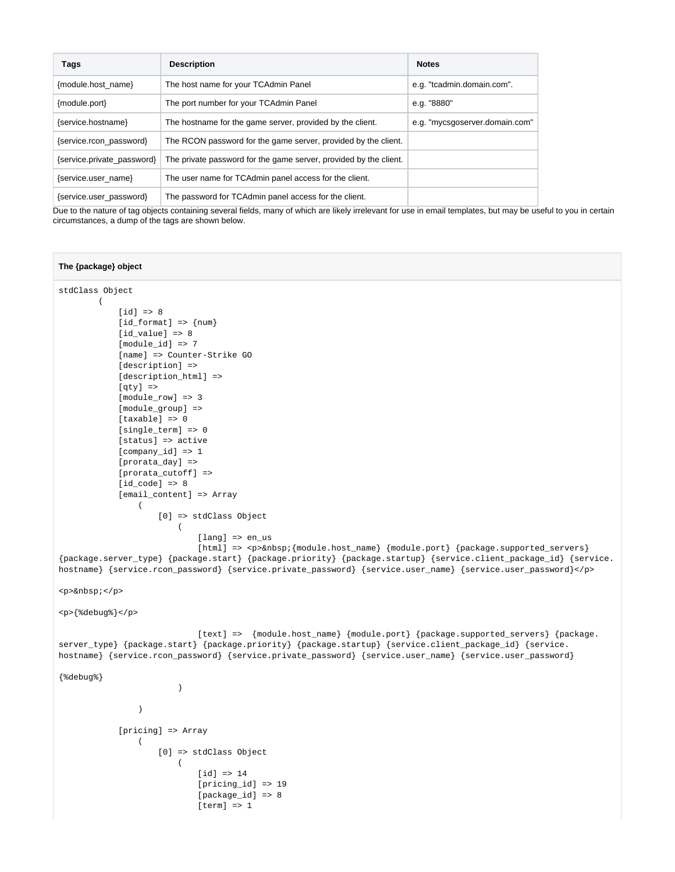| Tags                       | <b>Description</b>                                                | <b>Notes</b>                   |
|----------------------------|-------------------------------------------------------------------|--------------------------------|
| {module.host name}         | The host name for your TCAdmin Panel                              | e.g. "tcadmin.domain.com".     |
| {module.port}              | The port number for your TCAdmin Panel                            | e.g. "8880"                    |
| {service.hostname}         | The hostname for the game server, provided by the client.         | e.g. "mycsgoserver.domain.com" |
| {service.rcon password}    | The RCON password for the game server, provided by the client.    |                                |
| {service.private_password} | The private password for the game server, provided by the client. |                                |
| {service.user_name}        | The user name for TCAdmin panel access for the client.            |                                |
| {service.user_password}    | The password for TCAdmin panel access for the client.             |                                |

Due to the nature of tag objects containing several fields, many of which are likely irrelevant for use in email templates, but may be useful to you in certain circumstances, a dump of the tags are shown below.

#### **The {package} object**

```
stdClass Object
       \left(\lceil idl => 8
           [id_format] => {num} [id_value] => 8
            [module_id] => 7
            [name] => Counter-Strike GO
           [description] =>
           [description_html] =>
           [qty] =>
            [module_row] => 3
            [module_group] => 
            [taxable] => 0
            [single_term] => 0
            [status] => active
            [company_id] => 1
            [prorata_day] => 
            [prorata_cutoff] => 
           [id\_code] => 8
            [email_content] => Array
\sim (
                    [0] => stdClass Object
\overline{\phantom{a}} [lang] => en_us
                           [html] => <p>&nbsp; {module.host_name} {module.port} {package.supported_servers}
{package.server_type} {package.start} {package.priority} {package.startup} {service.client_package_id} {service.
hostname} {service.rcon_password} {service.private_password} {service.user_name} {service.user_password}</p>
<p>&nbsp;</p>
<p>{%debug%}</p>
                            [text] => {module.host_name} {module.port} {package.supported_servers} {package.
server_type} {package.start} {package.priority} {package.startup} {service.client_package_id} {service.
hostname} {service.rcon_password} {service.private_password} {service.user_name} {service.user_password}
{%debug%}
 )
 )
             [pricing] => Array
\sim (
                    [0] => stdClass Object
\overline{\phantom{a}}[id] => 14
                            [pricing_id] => 19
                            [package_id] => 8
                           [term] => 1
```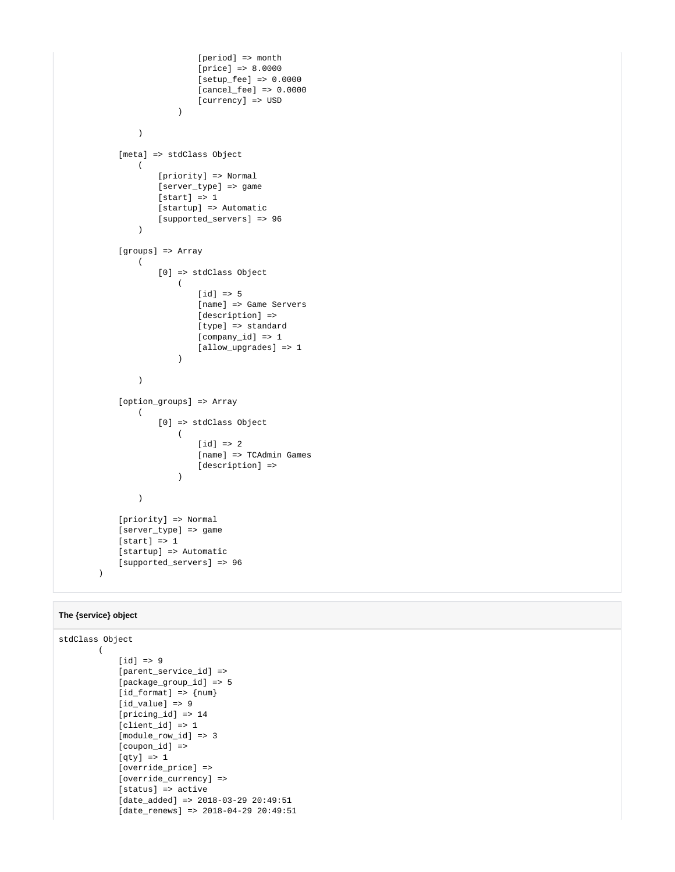```
 [period] => month
                         [price] => 8.0000
                         [setup_fee] => 0.0000
                         [cancel_fee] => 0.0000
                         [currency] => USD
 )
 )
           [meta] => stdClass Object
             \left( [priority] => Normal
                  [server_type] => game
                 [start] \Rightarrow 1 [startup] => Automatic
                  [supported_servers] => 96
 )
           [groups] => Array
             \left( [0] => stdClass Object
\overline{\phantom{a}}[d] => 5
                         [name] => Game Servers
                        [description] =>
                        [type] => standard
                         [company_id] => 1
                         [allow_upgrades] => 1
 )
 )
           [option_groups] => Array
\sim (
                  [0] => stdClass Object
\overline{\phantom{a}}[id] => 2
                         [name] => TCAdmin Games
                        [description] =>
 )
 )
           [priority] => Normal
           [server_type] => game
          [start] \Rightarrow 1 [startup] => Automatic
           [supported_servers] => 96
       \lambda
```
#### **The {service} object**

```
stdClass Object
      \left([d] => 9
             [parent_service_id] => 
             [package_group_id] => 5
            id_format => {num} [id_value] => 9
             [pricing_id] => 14
             [client_id] => 1
            [module row id] => 3
             [coupon_id] => 
             [qty] => 1
             [override_price] => 
             [override_currency] => 
             [status] => active
            [date added] => 2018-03-29 20:49:51
             [date_renews] => 2018-04-29 20:49:51
```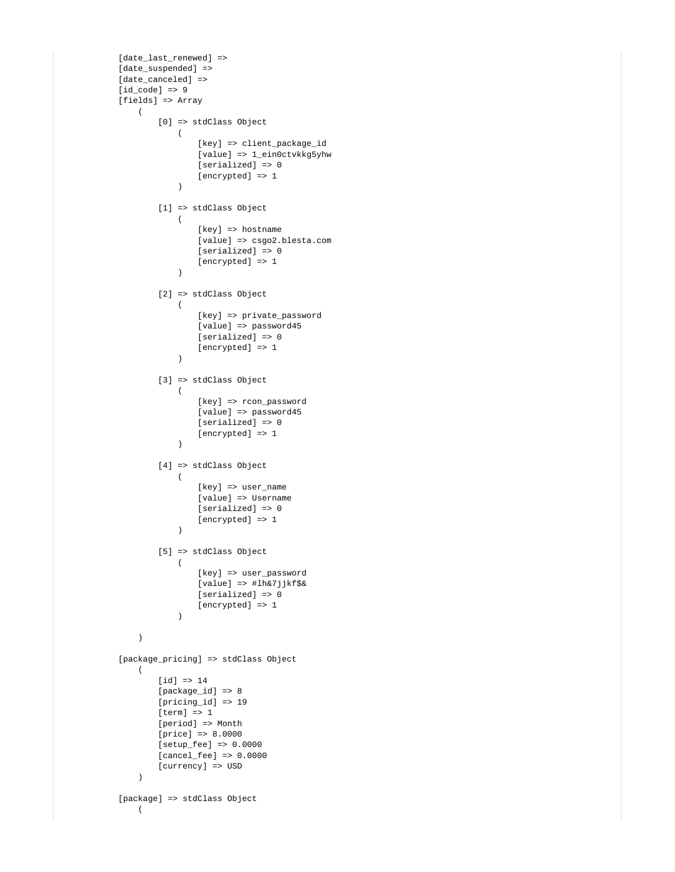```
 [date_last_renewed] => 
          [date_suspended] =>
           [date_canceled] => 
          [id\_code] => 9
           [fields] => Array
\sim (
                  [0] => stdClass Object
\overline{\phantom{a}} [key] => client_package_id
                         [value] => 1_ein0ctvkkg5yhw
                         [serialized] => 0
                         [encrypted] => 1
 )
                  [1] => stdClass Object
\overline{\phantom{a}} [key] => hostname
                         [value] => csgo2.blesta.com
                         [serialized] => 0
                         [encrypted] => 1
 )
                  [2] => stdClass Object
\overline{\phantom{a}} [key] => private_password
                         [value] => password45
                          [serialized] => 0
                         [encrypted] => 1
 )
                  [3] => stdClass Object
\overline{\phantom{a}} [key] => rcon_password
                         [value] => password45
                         [serialized] => 0
                         [encrypted] => 1
 )
                  [4] => stdClass Object
\overline{\phantom{a}} [key] => user_name
                         [value] => Username
                         [serialized] => 0
                         [encrypted] => 1
 )
                  [5] => stdClass Object
\overline{\phantom{a}} [key] => user_password
                         [value] => #lh&7jjkf$&
                         [serialized] => 0
                         [encrypted] => 1
 )
 )
           [package_pricing] => stdClass Object
             \left([id] => 14
                  [package_id] => 8
                  [pricing_id] => 19
                 [term] => 1
                  [period] => Month
                  [price] => 8.0000
                  [setup_fee] => 0.0000
                  [cancel_fee] => 0.0000
                  [currency] => USD
 )
           [package] => stdClass Object
             \left(
```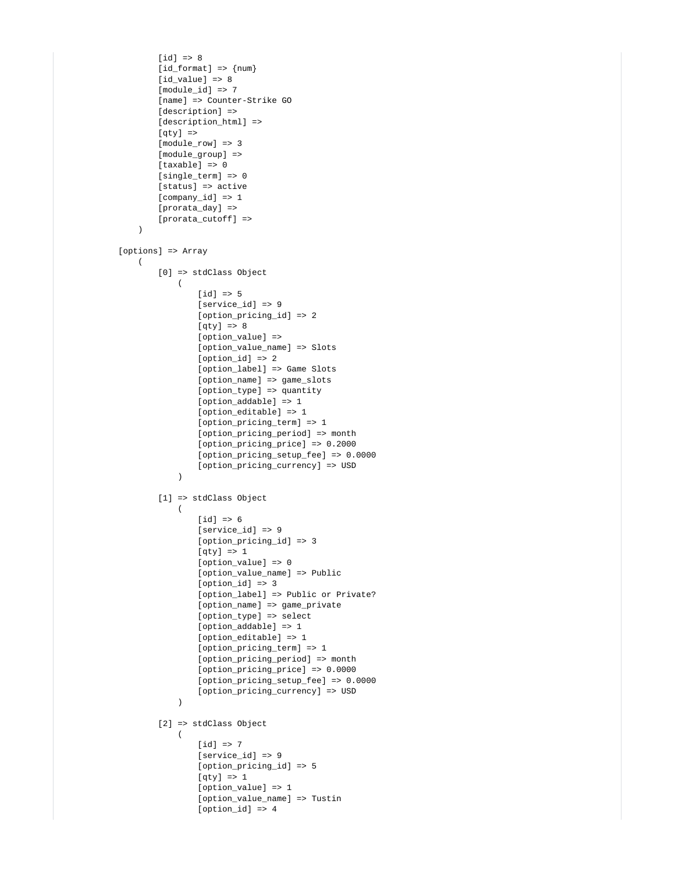```
[id] => 8
                   [id_format] => \{num\}id value] => 8
                    [module_id] => 7
                    [name] => Counter-Strike GO
                   [description] =>
                   [description_html] =>
                   [qty] =>
                   [module row] => 3
                    [module_group] => 
                    [taxable] => 0
                    [single_term] => 0
                   [status] => active
                    [company_id] => 1
                   [prorata day] =>
                    [prorata_cutoff] => 
 )
           [options] => Array
\sim (
                    [0] => stdClass Object
\overline{\phantom{a}}[d] => 5
                            [service_id] => 9
                            [option_pricing_id] => 2
                           [qty] \Rightarrow 8 [option_value] => 
                            [option_value_name] => Slots
                           [ option id => 2
                            [option_label] => Game Slots
                            [option_name] => game_slots
                            [option_type] => quantity
                            [option_addable] => 1
                            [option_editable] => 1
                           [option_pricing_term] => 1
                           [option_pricing_period] => month
                            [option_pricing_price] => 0.2000
                            [option_pricing_setup_fee] => 0.0000
                            [option_pricing_currency] => USD
 )
                    [1] => stdClass Object
\overline{\phantom{a}}[d] => 6
                            [service_id] => 9
                           [option pricing id] => 3
                            [qty] => 1
                            [option_value] => 0
                            [option_value_name] => Public
                            [option_id] => 3
                            [option_label] => Public or Private?
                            [option_name] => game_private
                            [option_type] => select
                            [option_addable] => 1
                           [option editable] => 1
                            [option_pricing_term] => 1
                            [option_pricing_period] => month
                            [option_pricing_price] => 0.0000
                            [option_pricing_setup_fee] => 0.0000
                            [option_pricing_currency] => USD
 )
                    [2] => stdClass Object
\overline{\phantom{a}}[d] => 7
                            [service_id] => 9
                            [option_pricing_id] => 5
                           [qty] \Rightarrow 1 [option_value] => 1
                            [option_value_name] => Tustin
                            [option_id] => 4
```